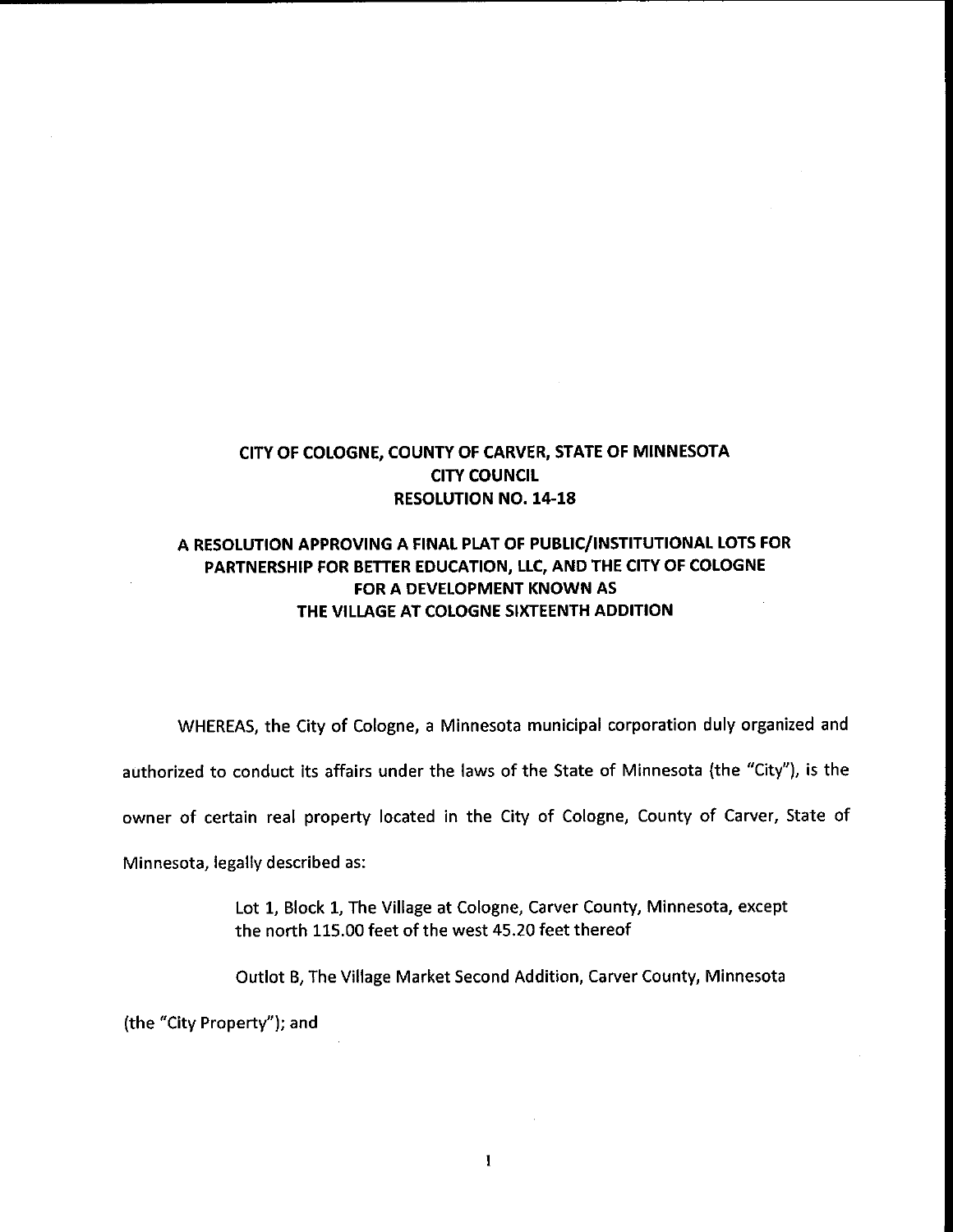## CITY OF COLOGNE, COUNTY OF CARVER, STATE OF MINNESOTA CITY COUNCIL **RESOLUTION NO. 14-18**

## A RESOLUTION APPROVING A FINAL PLAT OF PUBLIC/ INSTITUTIONAL LOTS FOR PARTNERSHIP FOR BETTER EDUCATION, LLC, AND THE CITY OF COLOGNE FOR A DEVELOPMENT KNOWN AS THE VILLAGE AT COLOGNE SIXTEENTH ADDITION

WHEREAS, the City of Cologne, a Minnesota municipal corporation duly organized and

authorized to conduct its affairs under the laws of the State of Minnesota (the "City"), is the

owner of certain real property located in the City of Cologne, County of Carver, State of

Minnesota, legally described as:

Lot 1, Block 1, The Village at Cologne, Carver County, Minnesota, except the north 115. 00 feet of the west 45. 20 feet thereof

Outlot B, The Village Market Second Addition, Carver County, Minnesota

the "City Property"); and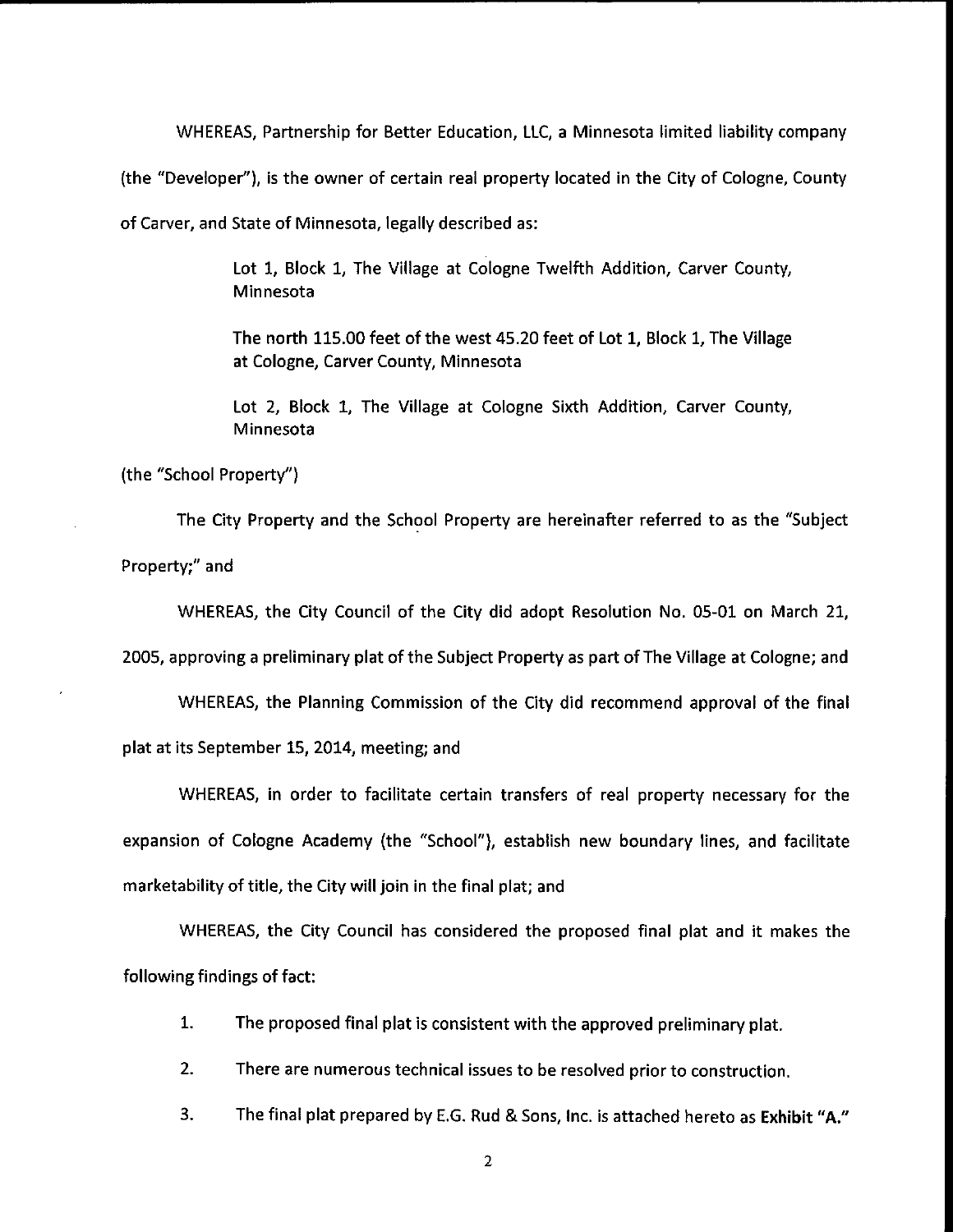WHEREAS, Partnership for Better Education, LLC, a Minnesota limited liability company

the " Developer"), is the owner of certain real property located in the City of Cologne, County

of Carver, and State of Minnesota, legally described as:

Lot 1, Block 1, The Village at Cologne Twelfth Addition, Carver County, Minnesota

The north 115.00 feet of the west 45. 20 feet of Lot 1, Block 1, The Village at Cologne, Carver County, Minnesota

Lot 2, Block 1, The Village at Cologne Sixth Addition, Carver County, Minnesota

the "School Property")

The City Property and the School Property are hereinafter referred to as the " Subject Property;" and

WHEREAS, the City Council of the City did adopt Resolution No. 05-01 on March 21,

2005, approving a preliminary plat of the Subject Property as part of The Village at Cologne; and

WHEREAS, the Planning Commission of the City did recommend approval of the final plat at its September 15, 2014, meeting; and

WHEREAS, in order to facilitate certain transfers of real property necessary for the expansion of Cologne Academy (the "School"), establish new boundary lines, and facilitate marketability of title, the City will join in the final plat; and

WHEREAS, the City Council has considered the proposed final plat and it makes the following findings of fact:

- 1. The proposed final plat is consistent with the approved preliminary plat.
- 2. There are numerous technical issues to be resolved prior to construction.
- 3. The final plat prepared by E.G. Rud & Sons, Inc. is attached hereto as Exhibit "A."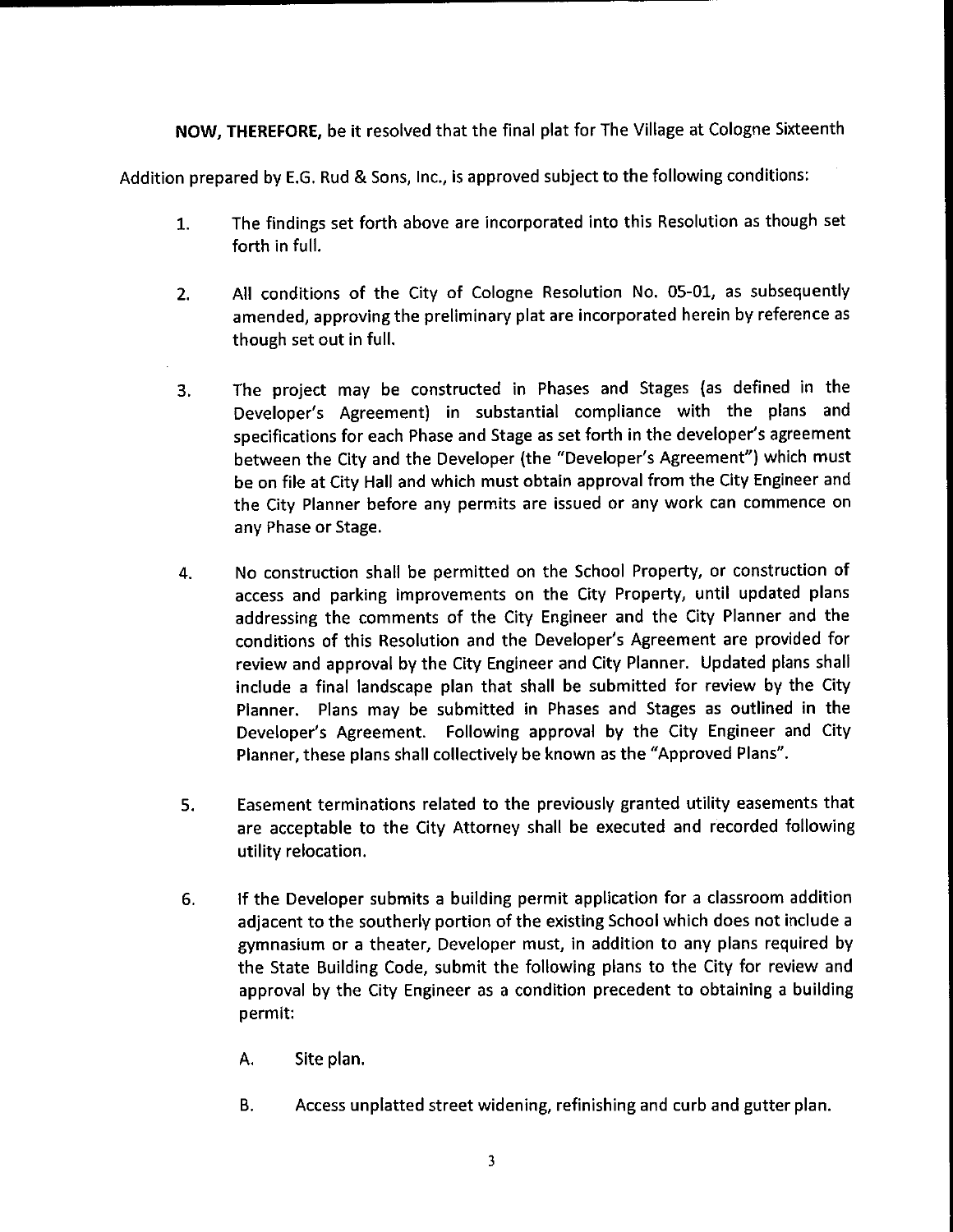NOW, THEREFORE, be it resolved that the final plat for The Village at Cologne Sixteenth

Addition prepared by E.G. Rud & Sons, Inc., is approved subject to the following conditions:

- 1. The findings set forth above are incorporated into this Resolution as though set forth in full.
- 2. All conditions of the City of Cologne Resolution No. 05-01, as subsequently amended, approving the preliminary plat are incorporated herein by reference as though set out in full.
- 3. The project may be constructed in Phases and Stages (as defined in the Developer's Agreement) in substantial compliance with the plans and specifications for each Phase and Stage as set forth in the developer's agreement between the City and the Developer (the "Developer's Agreement") which must be on file at City Hall and which must obtain approval from the City Engineer and the City Planner before any permits are issued or any work can commence on any Phase or Stage.
- 4. No construction shall be permitted on the School Property, or construction of access and parking improvements on the City Property, until updated plans addressing the comments of the City Engineer and the City Planner and the conditions of this Resolution and the Developer's Agreement are provided for review and approval by the City Engineer and City Planner. Updated plans shall include <sup>a</sup> final landscape plan that shall be submitted for review by the City Planner. Plans may be submitted in Phases and Stages as outlined in the Developer's Agreement. Following approval by the City Engineer and City Planner, these plans shall collectively be known as the "Approved Plans".
- 5. Easement terminations related to the previously granted utility easements that are acceptable to the City Attorney shall be executed and recorded following utility relocation.
- 6. If the Developer submits <sup>a</sup> building permit application for a classroom addition adjacent to the southerly portion of the existing School which does not include <sup>a</sup> gymnasium or <sup>a</sup> theater, Developer must, in addition to any plans required by the State Building Code, submit the following plans to the City for review and approval by the City Engineer as <sup>a</sup> condition precedent to obtaining <sup>a</sup> building permit:
	- A. Site plan.
	- B. Access unplatted street widening, refinishing and curb and gutter plan.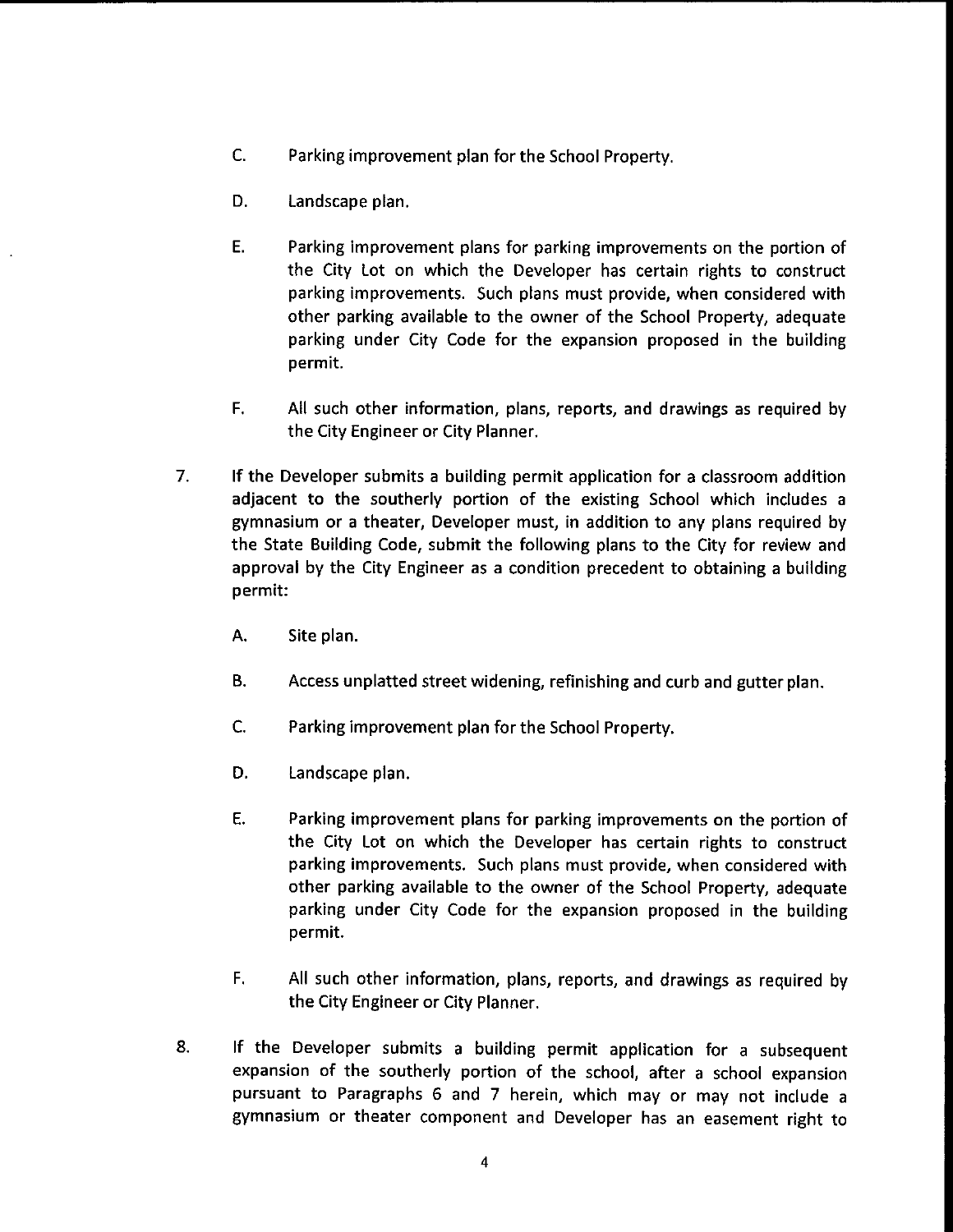- C. Parking improvement plan for the School Property.
- D. Landscape plan.
- E. Parking improvement plans for parking improvements on the portion of the City Lot on which the Developer has certain rights to construct parking improvements. Such plans must provide, when considered with other parking available to the owner of the School Property, adequate parking under City Code for the expansion proposed in the building permit.
- F. All such other information, plans, reports, and drawings as required by the City Engineer or City Planner.
- 7. If the Developer submits <sup>a</sup> building permit application for <sup>a</sup> classroom addition adjacent to the southerly portion of the existing School which includes <sup>a</sup> gymnasium or <sup>a</sup> theater, Developer must, in addition to any plans required by the State Building Code, submit the following plans to the City for review and approval by the City Engineer as a condition precedent to obtaining <sup>a</sup> building permit:
	- A. Site plan.
	- B. Access unplatted street widening, refinishing and curb and gutter plan.
	- C. Parking improvement plan for the School Property.
	- D. Landscape plan.
	- E. Parking improvement plans for parking improvements on the portion of the City Lot on which the Developer has certain rights to construct parking improvements. Such plans must provide, when considered with other parking available to the owner of the School Property, adequate parking under City Code for the expansion proposed in the building permit.
	- F. All such other information, plans, reports, and drawings as required by the City Engineer or City Planner.
- 8. If the Developer submits <sup>a</sup> building permit application for <sup>a</sup> subsequent expansion of the southerly portion of the school, after <sup>a</sup> school expansion pursuant to Paragraphs 6 and 7 herein, which may or may not include <sup>a</sup> gymnasium or theater component and Developer has an easement right to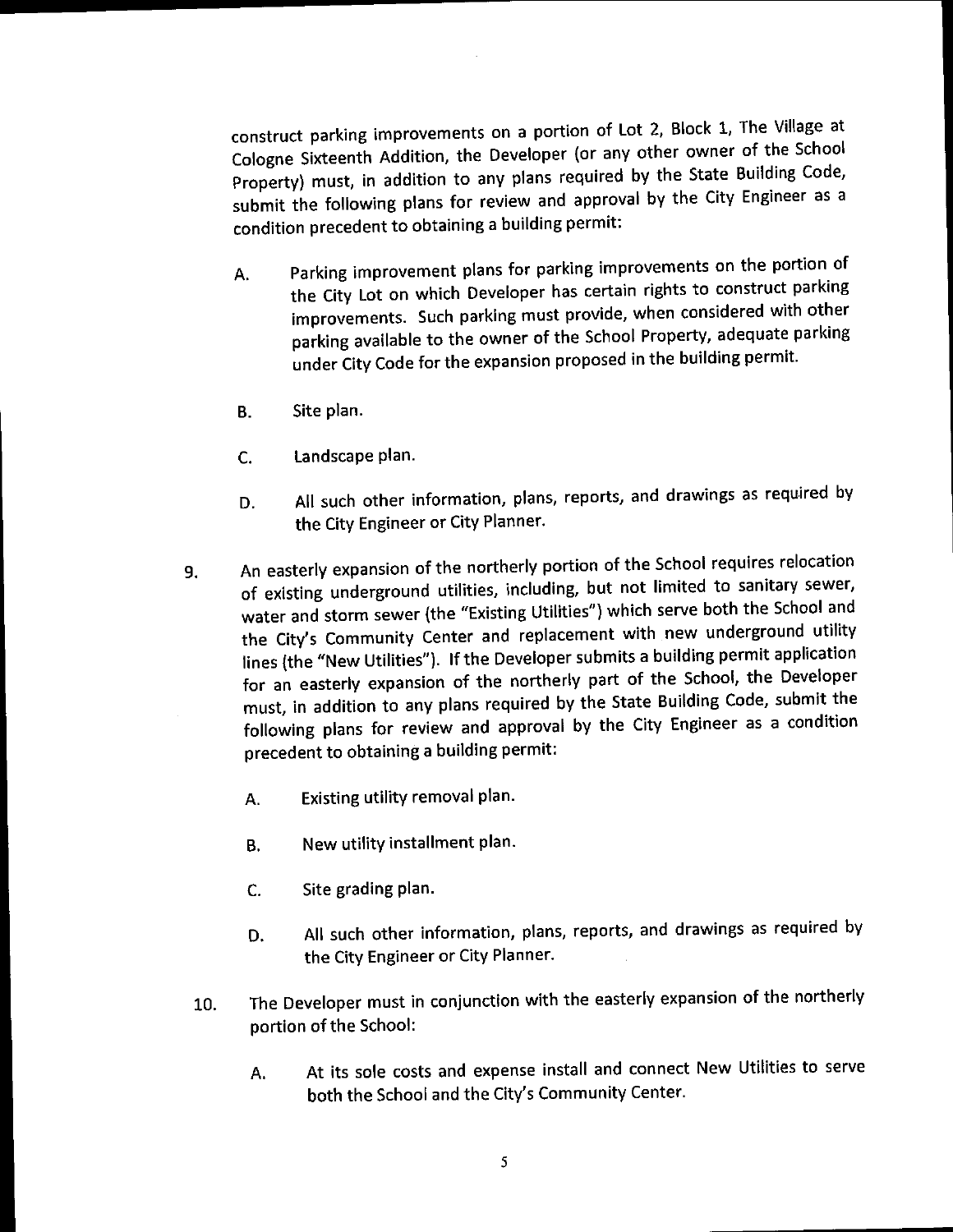construct parking improvements on <sup>a</sup> portion of Lot 2, Block 1, The Village at Property) must, in addition to any plans required by the State Building Code, pperty) must, in addition to any plans required by the State Building Code, as a  $s$  submit the following plans for review and approval by the  $C_i$  Engineer as  $\alpha$ condition precedent to obtaining <sup>a</sup> building permit:

- A. Parking improvement plans for parking improvements on the portion of improvements. Such parking must provide, when considered with other parking available to the owner of the School Property, adequate parking parties available to the owner of the school Property,  $\alpha$ up City Code for the expansion proposed in the building permit.
- B. Site plan.
- C. Landscape plan.
- D. All such other information, plans, reports, and drawings as required by the City Engineer or City Planner.
- 9. An easterly expansion of the northerly portion of the School requires relocation water and storm sewer (the "Existing Utilities") which serve both the School and the City's Community Center and replacement with new underground utility lines (the "New Utilities"). If the Developer submits a building permit application for an easterly expansion of the northerly part of the School, the Developer must, in addition to any plans required by the State Building Code, submit the must, in addition to any plans required by the state Building Co.  $\frac{1}{2}$  $\frac{1}{2}$  following plans for review and approval by the City Engineer and  $\frac{1}{2}$ precedent to obtaining a building permit:
	- A. Existing utility removal plan.
	- B. New utility installment plan.
	- C. Site grading plan.
	- D. All such other information, plans, reports, and drawings as required by the City Engineer or City Planner.
	- 10. The Developer must in conjunction with the easterly expansion of the northerly portion of the School:
		- A. At its sole costs and expense install and connect New Utilities to serve both the School and the City's Community Center.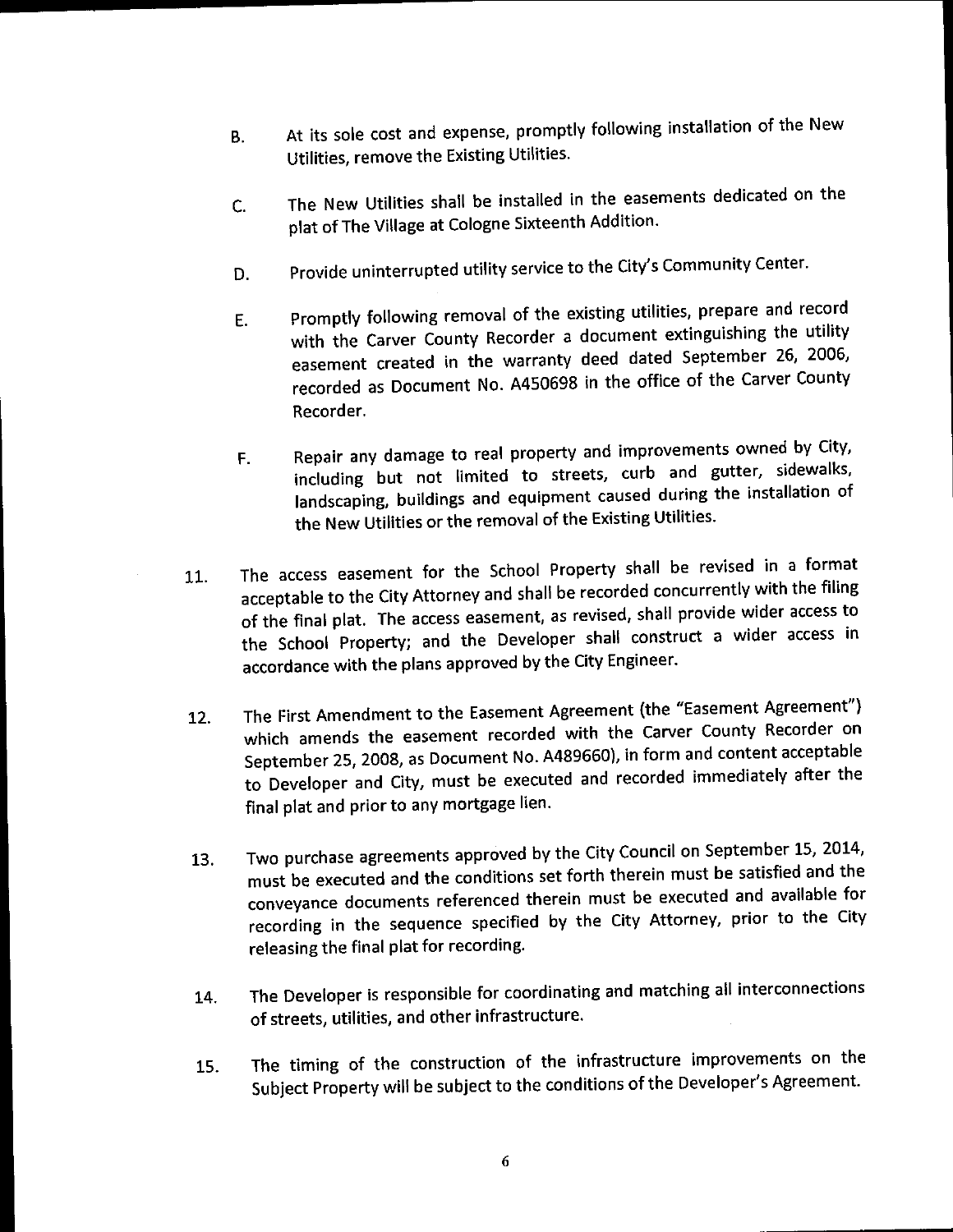- At its sole cost and expense, promptly following installation of the New **B.** Utilities, remove the Existing Utilities.
- The New Utilities shall be installed in the easements dedicated on the C. plat of The Village at Cologne Sixteenth Addition.
- D. Provide uninterrupted utility service to the City's Community Center.
- E. Promptly following removal of the existing utilities, prepare and record easement created in the warranty deed dated September 26, 2006, Sement created in the warranty deed data. recorded as Document No. A450698 in the office of the Carver County Recorder.
- F. Repair any damage to real property and improvements owned by City, landscaping, buildings and equipment caused during the installation of landscaping, buildings and equipment caused during the installation of the New Utilities of the removal of the Existing Utilities.
- 11. The access easement for the School Property shall be revised in <sup>a</sup> format of the final plat. The access easement, as revised, shall provide wider access to of the final plat. The access easement, as revised, shall provide wider access to the School Property; and the Developer shall construct a wider and the School construction and wider and wider accordance with the plans approved by the City Engineer.
- 12. The First Amendment to the Easement Agreement (the "Easement Agreement")<br>which amends the easement recorded with the Carver County Recorder on which amends the easement recorded with the Carver County Recorder on the Carver County Recorder on the Carves Recorder on the Carves of County Recorder on the Carves County Recorder on the Carves County Recorder on the Ca eptember 25, 2008, as Document No. A4896660, in form and content acceptable to Developer and City, must be executed and recorded immediately after the final plat and prior to any mortgage lien.
- 13. Two purchase agreements approved by the City Council on September 15, 2014,<br>must be executed and the conditions set forth therein must be satisfied and the must be executed and the conditions set forth therein must be subsiderable and the conveyance documents referenced therein must be executed and available for recording in the sequence specified by the City Attorney, prior to the City releasing the final plat for recording.
- 14. The Developer is responsible for coordinating and matching all interconnections of streets, utilities, and other infrastructure.
- 15. The timing of the construction of the infrastructure improvements on the Subject Property will be subject to the conditions of the Developer' <sup>s</sup> Agreement.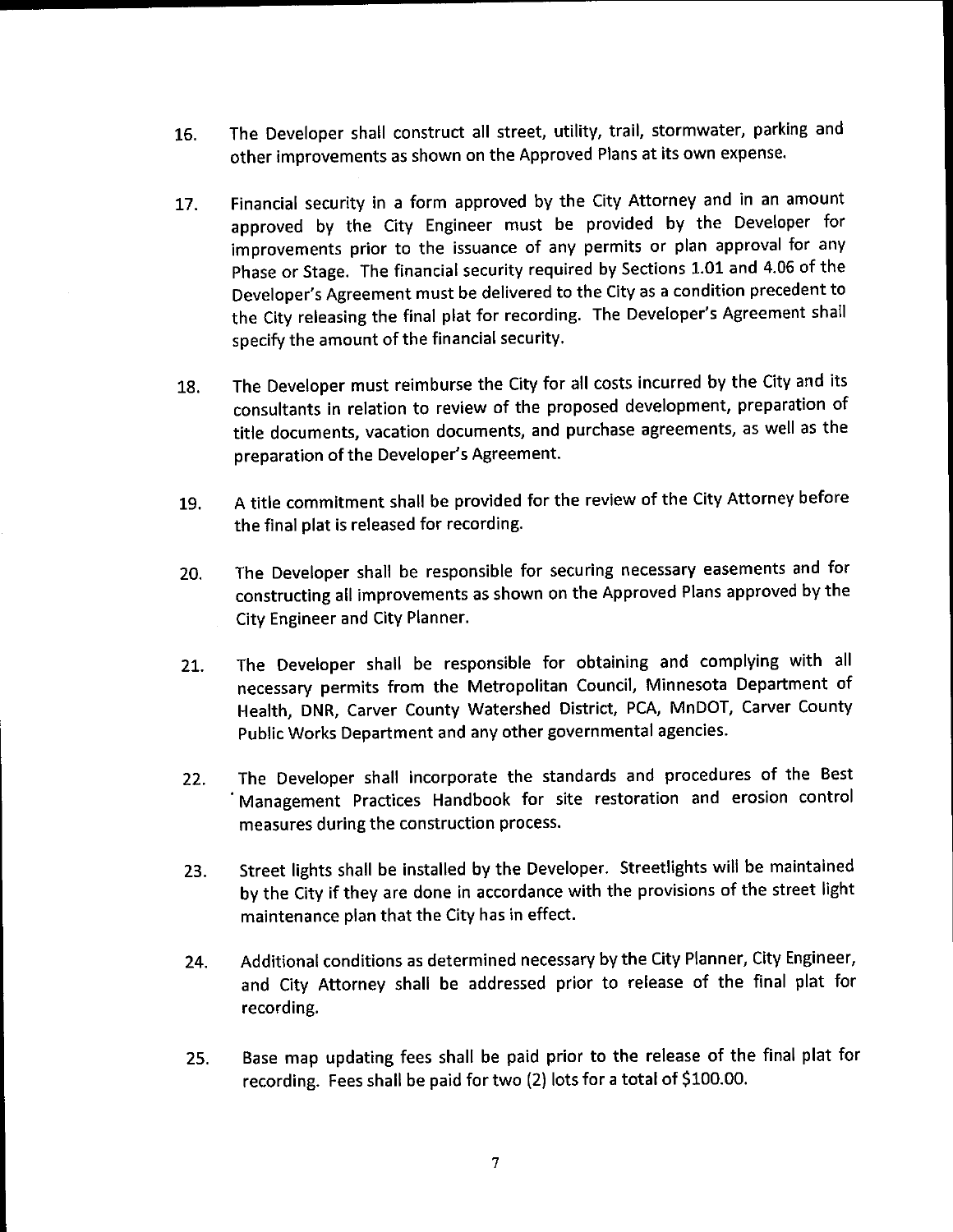- 16. The Developer shall construct all street, utility, trail, stormwater, parking and other improvements as shown on the Approved Plans at its own expense.
- 17. Financial security in <sup>a</sup> form approved by the City Attorney and in an amount approved by the City Engineer must be provided by the Developer for improvements prior to the issuance of any permits or plan approval for any Phase or Stage. The financial security required by Sections 1. 01 and 4.06 of the Developer's Agreement must be delivered to the City as a condition precedent to the City releasing the final plat for recording. The Developer's Agreement shall specify the amount of the financial security.
- 18. The Developer must reimburse the City for all costs incurred by the City and its consultants in relation to review of the proposed development, preparation of title documents, vacation documents, and purchase agreements, as well as the preparation of the Developer's Agreement.
- 19. A title commitment shall be provided for the review of the City Attorney before the final plat is released for recording.
- 20. The Developer shall be responsible for securing necessary easements and for constructing all improvements as shown on the Approved Plans approved by the City Engineer and City Planner.
- 21. The Developer shall be responsible for obtaining and complying with all necessary permits from the Metropolitan Council, Minnesota Department of Health, DNR, Carver County Watershed District, PCA, MnDOT, Carver County Public Works Department and any other governmental agencies.
- 22. The Developer shall incorporate the standards and procedures of the Best Management Practices Handbook for site restoration and erosion control measures during the construction process.
- 23. Street lights shall be installed by the Developer. Streetlights will be maintained by the City if they are done in accordance with the provisions of the street light maintenance plan that the City has in effect.
- 24. Additional conditions as determined necessary by the City Planner, City Engineer, and City Attorney shall be addressed prior to release of the final plat for recording.
- 25. Base map updating fees shall be paid prior to the release of the final plat for recording. Fees shall be paid for two (2) lots for a total of \$100.00.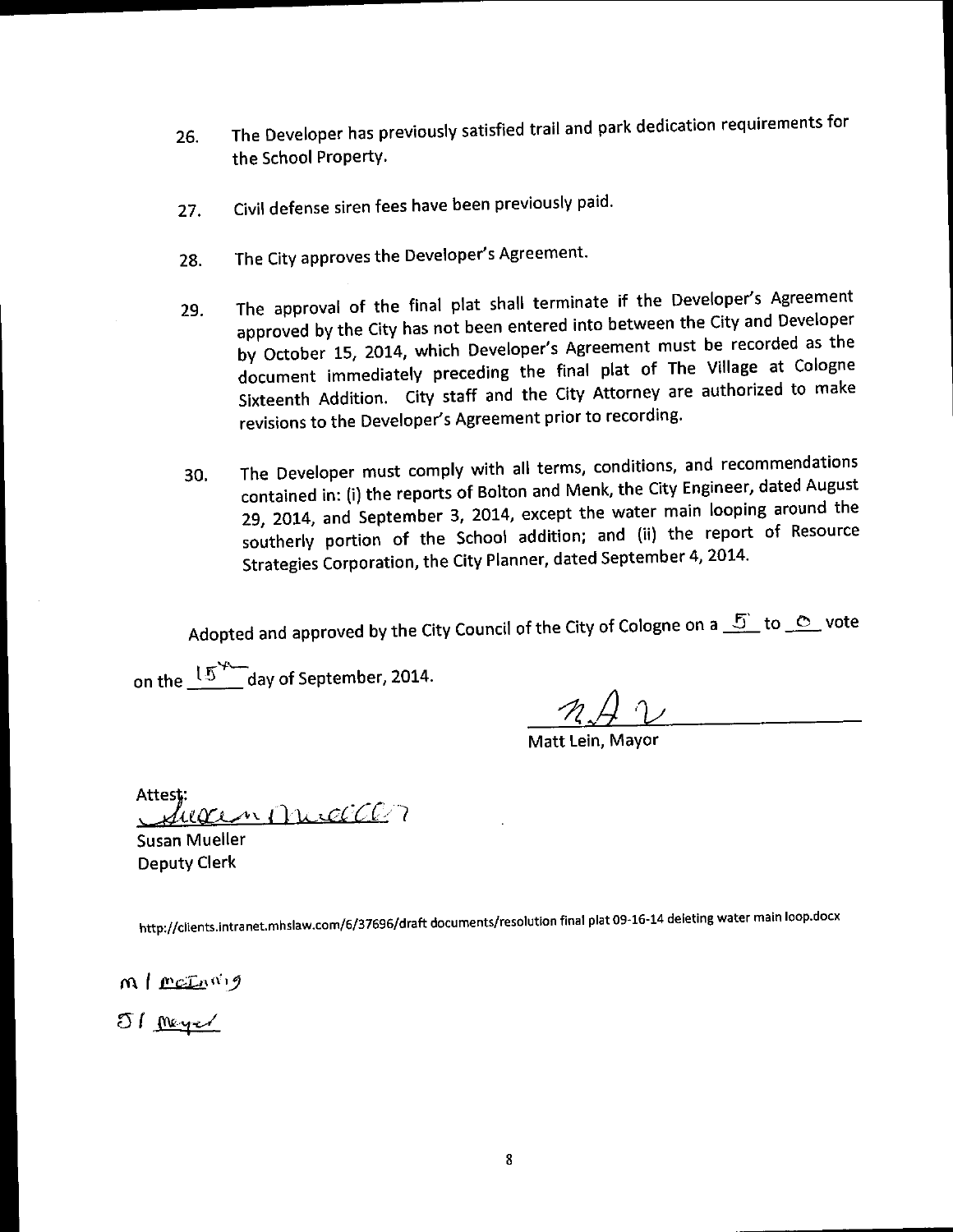- 26. The Developer has previously satisfied trail and park dedication requirements for the School Property.
- 27. Civil defense siren fees have been previously paid.
- 28. The City approves the Developer's Agreement.
- 29. The approval of the final plat shall terminate if the Developer's Agreement approved by the City has not been entered into between the City and Developer by October 15, 2014, which Developer's Agreement must be recorded as the document immediately preceding the final plat of The Village at Cologne document immediately preceding the final plate.  $\frac{1}{2}$  Addition. City staff and the City Attorney and the City Attorney and the magnetic materials to make  $\frac{1}{2}$ revisions to the Developer's Agreement prior to recording.
- 30. The Developer must comply with all terms, conditions, and recommendations contained in: (i) the reports of Bolton and Menk, the City Engineer, dated August 29, 2014, and September 3, 2014, except the water main looping around the southerly portion of the School addition; and (ii) the report of Resource sumerly portion of the School addition; and  $(n)$  are  $t$ .  $S_t$  rategies Corporation, the City Planner, december  $\frac{1}{2}$

Adopted and approved by the City Council of the City of Cologne on a  $\frac{5}{2}$  to  $\circ$  vote

n the  $15$   $\sim$  day of September, 2014.

 $\mathcal{H}$  'V

Matt Lein, Mayor

Attest:<br>Jueren MuelCl

Susan Mueller Deputy Clerk

http://clients.intranet.mhslaw.com/6/37696/draft documents/resolution final plat 09-16-14 deleting water main loop.docx

 $m \mid \text{min}$ 

51 mayer